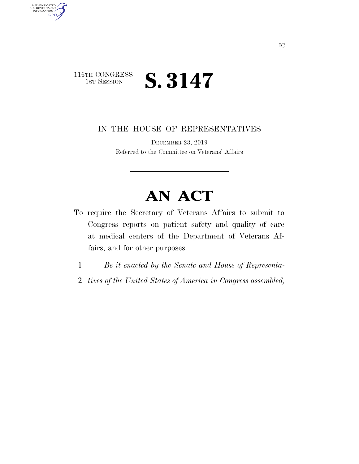## 116TH CONGRESS<br>1st Session **S. 3147**

AUTHENTICATED<br>U.S. GOVERNMENT<br>INFORMATION

**GPO** 

IN THE HOUSE OF REPRESENTATIVES

DECEMBER 23, 2019 Referred to the Committee on Veterans' Affairs

## **AN ACT**

- To require the Secretary of Veterans Affairs to submit to Congress reports on patient safety and quality of care at medical centers of the Department of Veterans Affairs, and for other purposes.
	- 1 *Be it enacted by the Senate and House of Representa-*
	- 2 *tives of the United States of America in Congress assembled,*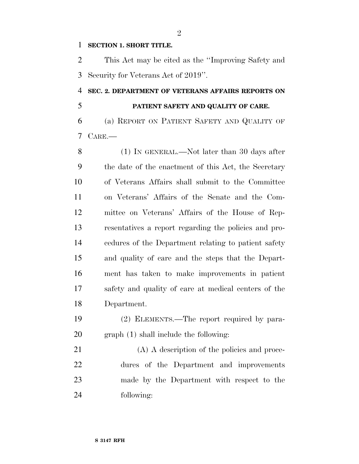## **SECTION 1. SHORT TITLE.**

 This Act may be cited as the ''Improving Safety and Security for Veterans Act of 2019''.

## **SEC. 2. DEPARTMENT OF VETERANS AFFAIRS REPORTS ON PATIENT SAFETY AND QUALITY OF CARE.**

 (a) REPORT ON PATIENT SAFETY AND QUALITY OF CARE.—

 (1) IN GENERAL.—Not later than 30 days after the date of the enactment of this Act, the Secretary of Veterans Affairs shall submit to the Committee on Veterans' Affairs of the Senate and the Com- mittee on Veterans' Affairs of the House of Rep- resentatives a report regarding the policies and pro- cedures of the Department relating to patient safety and quality of care and the steps that the Depart- ment has taken to make improvements in patient safety and quality of care at medical centers of the Department.

 (2) ELEMENTS.—The report required by para-graph (1) shall include the following:

21 (A) A description of the policies and proce- dures of the Department and improvements made by the Department with respect to the following:

 $\mathfrak{D}$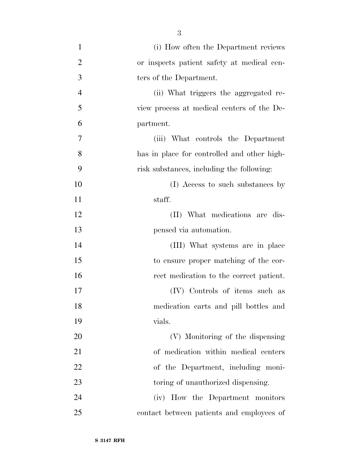| $\mathbf{1}$   | (i) How often the Department reviews        |
|----------------|---------------------------------------------|
| $\overline{2}$ | or inspects patient safety at medical cen-  |
| 3              | ters of the Department.                     |
| $\overline{4}$ | (ii) What triggers the aggregated re-       |
| 5              | view process at medical centers of the De-  |
| 6              | partment.                                   |
| 7              | (iii) What controls the Department          |
| 8              | has in place for controlled and other high- |
| 9              | risk substances, including the following:   |
| 10             | (I) Access to such substances by            |
| 11             | staff.                                      |
| 12             | (II) What medications are dis-              |
| 13             | pensed via automation.                      |
| 14             | (III) What systems are in place             |
| 15             | to ensure proper matching of the cor-       |
| 16             | rect medication to the correct patient.     |
| 17             | (IV) Controls of items such as              |
| 18             | medication carts and pill bottles and       |
| 19             | vials.                                      |
| 20             | (V) Monitoring of the dispensing            |
| 21             | of medication within medical centers        |
| 22             | of the Department, including moni-          |
| 23             | toring of unauthorized dispensing.          |
| 24             | (iv) How the Department monitors            |
| 25             | contact between patients and employees of   |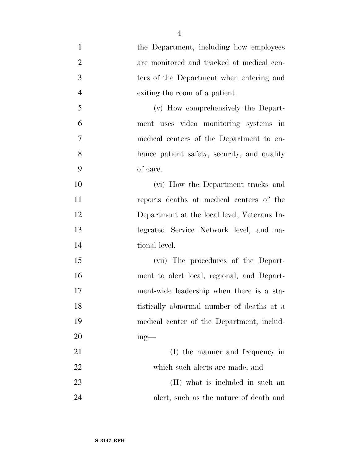| $\mathbf{1}$   | the Department, including how employees     |
|----------------|---------------------------------------------|
| $\overline{2}$ | are monitored and tracked at medical cen-   |
| 3              | ters of the Department when entering and    |
| $\overline{4}$ | exiting the room of a patient.              |
| 5              | (v) How comprehensively the Depart-         |
| 6              | ment uses video monitoring systems in       |
| $\tau$         | medical centers of the Department to en-    |
| 8              | hance patient safety, security, and quality |
| 9              | of care.                                    |
| 10             | (vi) How the Department tracks and          |
| 11             | reports deaths at medical centers of the    |
| 12             | Department at the local level, Veterans In- |
| 13             | tegrated Service Network level, and na-     |
| 14             | tional level.                               |
| 15             | (vii) The procedures of the Depart-         |
| 16             | ment to alert local, regional, and Depart-  |
| 17             | ment-wide leadership when there is a sta-   |
| 18             | tistically abnormal number of deaths at a   |
| 19             | medical center of the Department, includ-   |
| 20             | $ing$ —                                     |
| 21             | (I) the manner and frequency in             |
| 22             | which such a lerts are made; and            |
| 23             | (II) what is included in such an            |
| 24             | alert, such as the nature of death and      |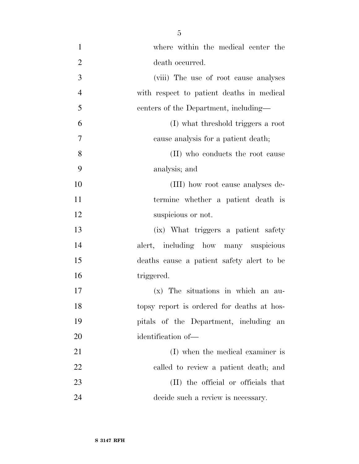- where within the medical center the 2 death occurred. (viii) The use of root cause analyses with respect to patient deaths in medical centers of the Department, including— (I) what threshold triggers a root cause analysis for a patient death; 8 (II) who conducts the root cause analysis; and (III) how root cause analyses de- termine whether a patient death is 12 suspicious or not. (ix) What triggers a patient safety alert, including how many suspicious deaths cause a patient safety alert to be 16 triggered. (x) The situations in which an au- topsy report is ordered for deaths at hos- pitals of the Department, including an identification of— 21 (I) when the medical examiner is called to review a patient death; and
- 23 (II) the official or officials that decide such a review is necessary.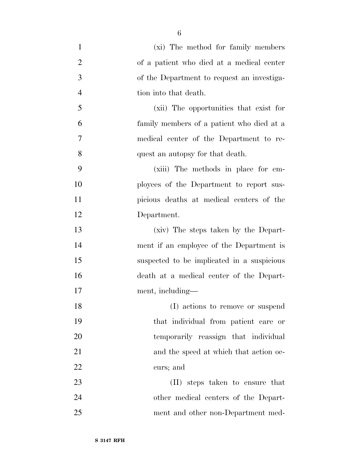| $\mathbf{1}$   | (xi) The method for family members         |
|----------------|--------------------------------------------|
| $\overline{2}$ | of a patient who died at a medical center  |
| 3              | of the Department to request an investiga- |
| $\overline{4}$ | tion into that death.                      |
| 5              | (xii) The opportunities that exist for     |
| 6              | family members of a patient who died at a  |
| $\overline{7}$ | medical center of the Department to re-    |
| 8              | quest an autopsy for that death.           |
| 9              | (xiii) The methods in place for em-        |
| 10             | ployees of the Department to report sus-   |
| 11             | picious deaths at medical centers of the   |
| 12             | Department.                                |
| 13             | (xiv) The steps taken by the Depart-       |
| 14             | ment if an employee of the Department is   |
| 15             | suspected to be implicated in a suspicious |
| 16             | death at a medical center of the Depart-   |
| 17             | ment, including—                           |
| 18             | (I) actions to remove or suspend           |
| 19             | that individual from patient care or       |
| 20             | temporarily reassign that individual       |
| 21             | and the speed at which that action oc-     |
| 22             | curs; and                                  |
| 23             | (II) steps taken to ensure that            |
| 24             | other medical centers of the Depart-       |
| 25             | ment and other non-Department med-         |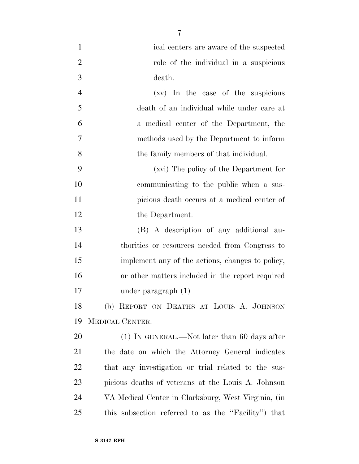| $\mathbf{1}$   | ical centers are aware of the suspected             |
|----------------|-----------------------------------------------------|
| $\overline{2}$ | role of the individual in a suspicious              |
| 3              | death.                                              |
| $\overline{4}$ | (xv) In the case of the suspicious                  |
| 5              | death of an individual while under care at          |
| 6              | a medical center of the Department, the             |
| 7              | methods used by the Department to inform            |
| 8              | the family members of that individual.              |
| 9              | (xvi) The policy of the Department for              |
| 10             | communicating to the public when a sus-             |
| 11             | picious death occurs at a medical center of         |
| 12             | the Department.                                     |
| 13             | (B) A description of any additional au-             |
| 14             | thorities or resources needed from Congress to      |
| 15             | implement any of the actions, changes to policy,    |
| 16             | or other matters included in the report required    |
| 17             | under paragraph $(1)$                               |
| 18             | (b) REPORT ON DEATHS AT LOUIS A. JOHNSON            |
| 19             | MEDICAL CENTER.-                                    |
| 20             | (1) IN GENERAL.—Not later than 60 days after        |
| 21             | the date on which the Attorney General indicates    |
| 22             | that any investigation or trial related to the sus- |
| 23             | picious deaths of veterans at the Louis A. Johnson  |
| 24             | VA Medical Center in Clarksburg, West Virginia, (in |
| 25             | this subsection referred to as the "Facility" that  |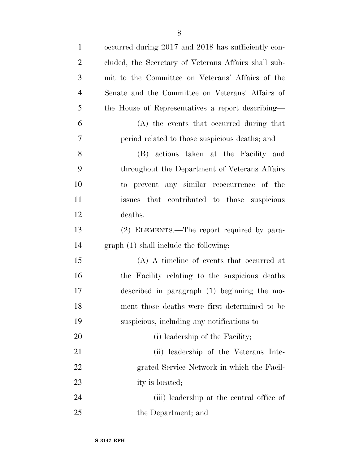| $\mathbf{1}$   | occurred during 2017 and 2018 has sufficiently con-  |
|----------------|------------------------------------------------------|
| $\overline{2}$ | cluded, the Secretary of Veterans Affairs shall sub- |
| 3              | mit to the Committee on Veterans' Affairs of the     |
| $\overline{4}$ | Senate and the Committee on Veterans' Affairs of     |
| 5              | the House of Representatives a report describing-    |
| 6              | (A) the events that occurred during that             |
| 7              | period related to those suspicious deaths; and       |
| 8              | (B) actions taken at the Facility and                |
| 9              | throughout the Department of Veterans Affairs        |
| 10             | to prevent any similar reoccurrence of the           |
| 11             | that contributed to those suspicious<br>issues       |
| 12             | deaths.                                              |
| 13             | (2) ELEMENTS.—The report required by para-           |
| 14             | graph (1) shall include the following:               |
| 15             | (A) A timeline of events that occurred at            |
| 16             | the Facility relating to the suspicious deaths       |
| 17             | described in paragraph (1) beginning the mo-         |
| 18             | ment those deaths were first determined to be        |
| 19             | suspicious, including any notifications to-          |
| 20             | (i) leadership of the Facility;                      |
| 21             | (ii) leadership of the Veterans Inte-                |
| 22             | grated Service Network in which the Facil-           |
| 23             | ity is located;                                      |
| 24             | (iii) leadership at the central office of            |
| 25             | the Department; and                                  |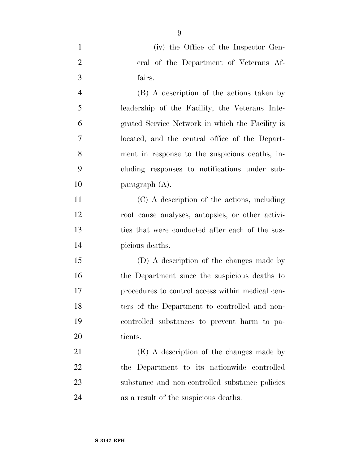|               | (iv) the Office of the Inspector Gen-  |
|---------------|----------------------------------------|
| 2             | eral of the Department of Veterans Af- |
| $\mathcal{R}$ | fairs.                                 |

 (B) A description of the actions taken by leadership of the Facility, the Veterans Inte- grated Service Network in which the Facility is located, and the central office of the Depart- ment in response to the suspicious deaths, in- cluding responses to notifications under sub-paragraph (A).

 (C) A description of the actions, including root cause analyses, autopsies, or other activi- ties that were conducted after each of the sus-picious deaths.

 (D) A description of the changes made by the Department since the suspicious deaths to procedures to control access within medical cen- ters of the Department to controlled and non- controlled substances to prevent harm to pa-tients.

 (E) A description of the changes made by the Department to its nationwide controlled substance and non-controlled substance policies as a result of the suspicious deaths.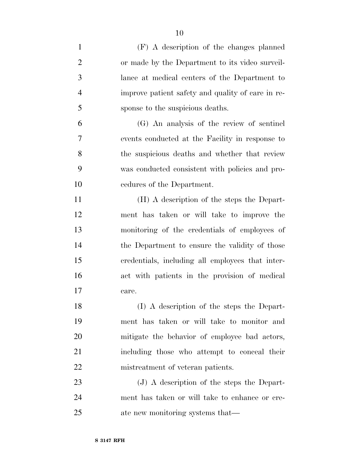(F) A description of the changes planned or made by the Department to its video surveil- lance at medical centers of the Department to improve patient safety and quality of care in re- sponse to the suspicious deaths. (G) An analysis of the review of sentinel events conducted at the Facility in response to the suspicious deaths and whether that review was conducted consistent with policies and pro- cedures of the Department. (H) A description of the steps the Depart-

 ment has taken or will take to improve the monitoring of the credentials of employees of 14 the Department to ensure the validity of those credentials, including all employees that inter- act with patients in the provision of medical care.

 (I) A description of the steps the Depart- ment has taken or will take to monitor and mitigate the behavior of employee bad actors, including those who attempt to conceal their 22 mistreatment of veteran patients.

23 (J) A description of the steps the Depart- ment has taken or will take to enhance or cre-ate new monitoring systems that—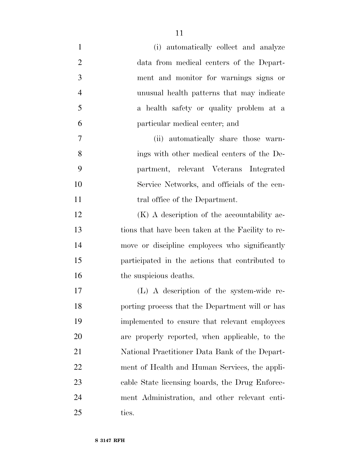(i) automatically collect and analyze data from medical centers of the Depart- ment and monitor for warnings signs or unusual health patterns that may indicate a health safety or quality problem at a particular medical center; and (ii) automatically share those warn- ings with other medical centers of the De- partment, relevant Veterans Integrated Service Networks, and officials of the cen-11 tral office of the Department.

12 (K) A description of the accountability ac- tions that have been taken at the Facility to re- move or discipline employees who significantly participated in the actions that contributed to 16 the suspicious deaths.

 (L) A description of the system-wide re- porting process that the Department will or has implemented to ensure that relevant employees are properly reported, when applicable, to the National Practitioner Data Bank of the Depart- ment of Health and Human Services, the appli- cable State licensing boards, the Drug Enforce- ment Administration, and other relevant enti-ties.